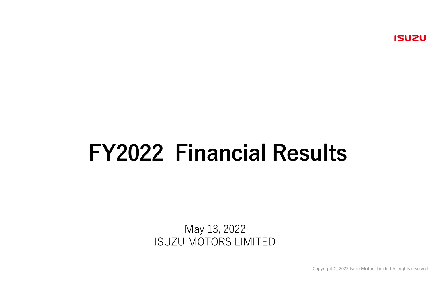# FY2022 Financial Results

May 13, 2022ISUZU MOTORS LIMITED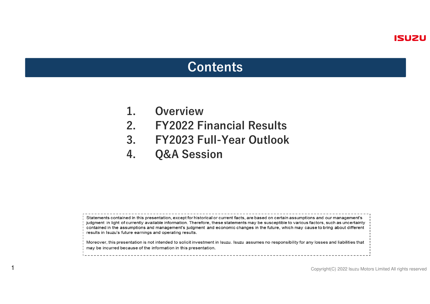### **Contents**

1. Overview<br>2. FY2022 F

1

- 2. FY2022 Financial Results
- 3. FY2023 Full-Year Outlook<br>4. O&A Session
- **Q&A Session**

Statements contained in this presentation, except for historical or current facts, are based on certain assumptions and our management's judgment in light of currently available information. Therefore, these statements may be susceptible to various factors, such as uncertainty contained in the assumptions and management's judgment and economic changes in the future, which may cause to bring about different results in Isuzu's future earnings and operating results.

Moreover, this presentation is not intended to solicit investment in Isuzu. Isuzu assumes no responsibility for any losses and liabilities that may be incurred because of the information in this presentation.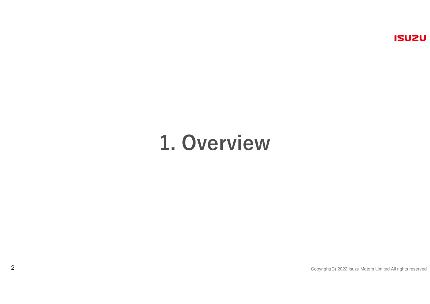## 1. Overview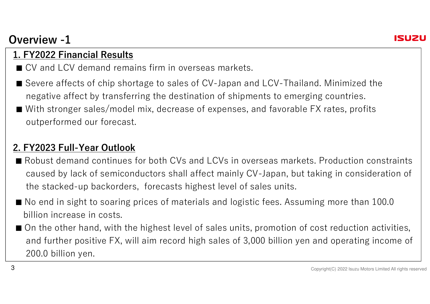## Overview -1



#### 1. FY2022 Financial Results

- CV and LCV demand remains firm in overseas markets.
- Severe affects of chip shortage to sales of CV-Japan and LCV-Thailand. Minimized the negative affect by transferring the destination of shipments to emerging countries.
- With stronger sales/model mix, decrease of expenses, and favorable FX rates, profits outperformed our forecast.

#### 2. FY2023 Full-Year Outlook

- Robust demand continues for both CVs and LCVs in overseas markets. Production constraints caused by lack of semiconductors shall affect mainly CV-Japan, but taking in consideration of the stacked-up backorders, forecasts highest level of sales units.
- No end in sight to soaring prices of materials and logistic fees. Assuming more than 100.0<br>→ …… billion increase in costs.
- On the other hand, with the highest level of sales units, promotion of cost reduction activities, and further positive FX, will aim record high sales of 3,000 billion yen and operating income of 200.0 billion yen.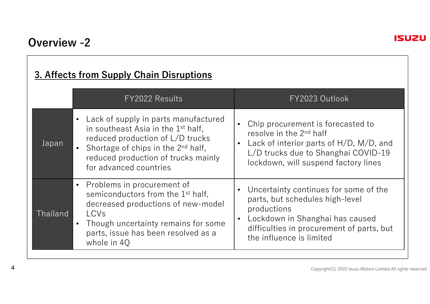#### 3. Affects from Supply Chain Disruptions

|          | FY2022 Results                                                                                                                                                                                                                                             | FY2023 Outlook                                                                                                                                                                                                        |
|----------|------------------------------------------------------------------------------------------------------------------------------------------------------------------------------------------------------------------------------------------------------------|-----------------------------------------------------------------------------------------------------------------------------------------------------------------------------------------------------------------------|
| Japan    | Lack of supply in parts manufactured<br>$\bullet$<br>in southeast Asia in the 1 <sup>st</sup> half,<br>reduced production of L/D trucks<br>Shortage of chips in the 2 <sup>nd</sup> half,<br>reduced production of trucks mainly<br>for advanced countries | Chip procurement is forecasted to<br>resolve in the 2 <sup>nd</sup> half<br>Lack of interior parts of $H/D$ , $M/D$ , and<br>$\bullet$<br>L/D trucks due to Shanghai COVID-19<br>lockdown, will suspend factory lines |
| Thailand | Problems in procurement of<br>$\bullet$<br>semiconductors from the 1 <sup>st</sup> half,<br>decreased productions of new-model<br>LCVs<br>Though uncertainty remains for some<br>$\bullet$<br>parts, issue has been resolved as a<br>whole in 40           | Uncertainty continues for some of the<br>$\bullet$<br>parts, but schedules high-level<br>productions<br>Lockdown in Shanghai has caused<br>difficulties in procurement of parts, but<br>the influence is limited      |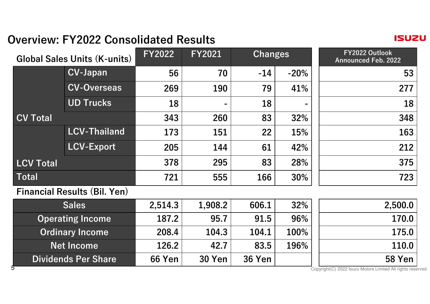## Overview: FY2022 Consolidated Results

**ISUZU** 

| <b>Global Sales Units (K-units)</b> |                                     | <b>FY2022</b> | <b>FY2021</b> | Changes       |        | FY2022 Outlook<br><b>Announced Feb. 2022</b>                             |
|-------------------------------------|-------------------------------------|---------------|---------------|---------------|--------|--------------------------------------------------------------------------|
|                                     | <b>CV-Japan</b>                     | 56            | 70            | $-14$         | $-20%$ | 53                                                                       |
|                                     | <b>CV-Overseas</b>                  | 269           | 190           | 79            | 41%    | 277                                                                      |
|                                     | <b>UD Trucks</b>                    | 18            |               | 18            |        | 18                                                                       |
| <b>CV Total</b>                     |                                     | 343           | 260           | 83            | 32%    | 348                                                                      |
|                                     | <b>LCV-Thailand</b>                 | 173           | 151           | 22            | 15%    | 163                                                                      |
|                                     | <b>LCV-Export</b>                   | 205           | 144           | 61            | 42%    | 212                                                                      |
| <b>LCV Total</b>                    |                                     | 378           | 295           | 83            | 28%    | 375                                                                      |
| Total                               |                                     | 721           | 555           | 166           | 30%    | 723                                                                      |
|                                     | <b>Financial Results (Bil. Yen)</b> |               |               |               |        |                                                                          |
| <b>Sales</b>                        |                                     | 2,514.3       | 1,908.2       | 606.1         | 32%    | 2,500.0                                                                  |
| <b>Operating Income</b>             |                                     | 187.2         | 95.7          | 91.5          | 96%    | 170.0                                                                    |
| <b>Ordinary Income</b>              |                                     | 208.4         | 104.3         | 104.1         | 100%   | 175.0                                                                    |
| <b>Net Income</b>                   |                                     | 126.2         | 42.7          | 83.5          | 196%   | 110.0                                                                    |
| <b>Dividends Per Share</b><br>5     |                                     | <b>66 Yen</b> | <b>30 Yen</b> | <b>36 Yen</b> |        | <b>58 Yen</b><br>Copyright(C) 2022 Isuzu Motors Limited All rights reser |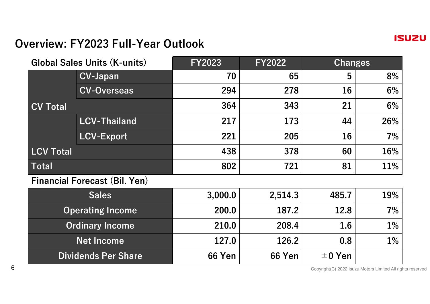

#### Overview: FY2023 Full-Year Outlook

Dividends Per Share

| <b>Global Sales Units (K-units)</b>  |                     | <b>FY2023</b> | <b>FY2022</b> | Changes |       |
|--------------------------------------|---------------------|---------------|---------------|---------|-------|
|                                      | <b>CV-Japan</b>     | 70            | 65            | 5       | 8%    |
|                                      | <b>CV-Overseas</b>  | 294           | 278           | 16      | $6\%$ |
| <b>CV Total</b>                      |                     | 364           | 343           | 21      | $6\%$ |
|                                      | <b>LCV-Thailand</b> | 217           | 173           | 44      | 26%   |
|                                      | <b>LCV-Export</b>   | 221           | 205           | 16      | 7%    |
| <b>LCV Total</b>                     |                     | 438           | 378           | 60      | 16%   |
| Total                                |                     | 802           | 721           | 81      | 11%   |
| <b>Financial Forecast (Bil. Yen)</b> |                     |               |               |         |       |
| <b>Sales</b>                         |                     | 3,000.0       | 2,514.3       | 485.7   | 19%   |
| <b>Operating Income</b>              |                     | 200.0         | 187.2         | 12.8    | 7%    |
| <b>Ordinary Income</b>               |                     | 210.0         | 208.4         | 1.6     | $1\%$ |
| <b>Net Income</b>                    |                     | 127.0         | 126.2         | 0.8     | $1\%$ |

66 Yen  $\vert$  66 Yen  $\vert$   $\pm$  0 Yen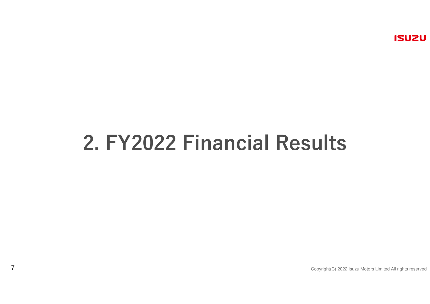# 2. FY2022 Financial Results

7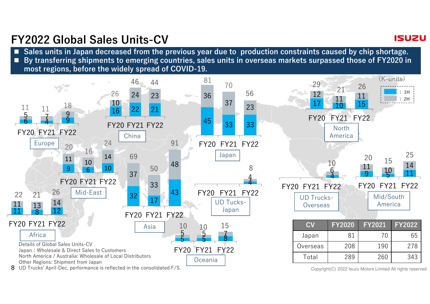## FY2022 Global Sales Units-CV

Sales units in Japan decreased from the previous year due to production constraints caused by chip shortage.  $\overline{\phantom{a}}$  By transferring shipments to emerging countries, sales units in overseas markets surpassed those of FY2020 in most regions, before the widely spread of COVID-19.



**ISU2U**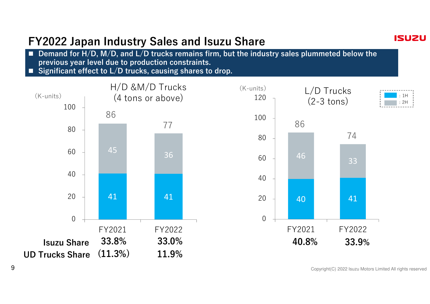## FY2022 Japan Industry Sales and Isuzu Share

- $\overline{\phantom{a}}$  Demand for H/D, M/D, and L/D trucks remains firm, but the industry sales plummeted below the previous year level due to production constraints.
- Significant effect to  $L/D$  trucks, causing shares to drop.





Copyright(C) 2022 Isuzu Motors Limited All rights reserved

**ISUZU**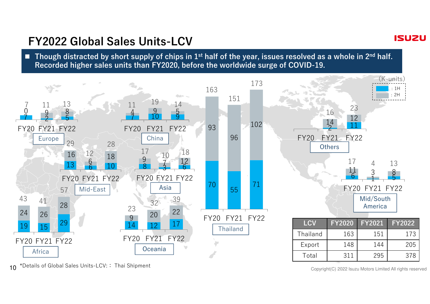### FY2022 Global Sales Units-LCV

**Though distracted by short supply of chips in 1st half of the year, issues resolved as a whole in 2<sup>nd</sup> half.<br>Reserved bigher soles with then EX2020, hefere the weaklyide swape of COVID 10.** Recorded higher sales units than FY2020, before the worldwide surge of COVID-19.



<sup>10</sup>\*Details of Global Sales Units-LCV:: Thai Shipment

Copyright(C) 2022 Isuzu Motors Limited All rights reserved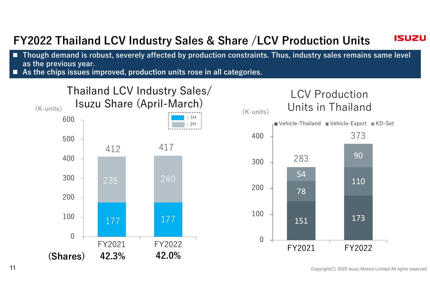#### **ISUZU** FY2022 Thailand LCV Industry Sales & Share /LCV Production Units

- Though demand is robust, severely affected by production constraints. Thus, industry sales remains same level as the previous year.
- As the chips issues improved, production units rose in all categories.



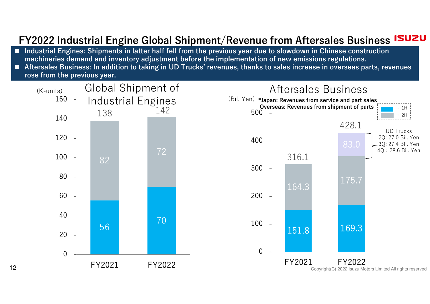#### FY2022 Industrial Engine Global Shipment/Revenue from Aftersales Business ISUZU

- Industrial Engines: Shipments in latter half fell from the previous year due to slowdown in Chinese construction<br>International construction of investment before the implementation of new emissions regulations. machineries demand and inventory adjustment before the implementation of new emissions regulations.
- Aftersales Business: In addition to taking in UD Trucks' revenues, thanks to sales increase in overseas parts, revenues rose from the previous year.

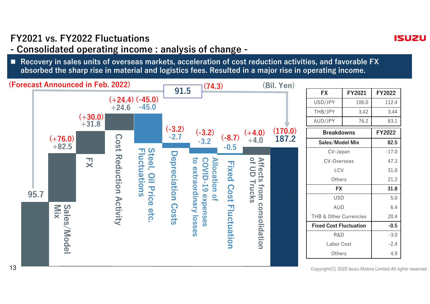#### FY2021 vs. FY2022 Fluctuations

## - Consolidated operating income : analysis of change -

 $\overline{\phantom{a}}$  Recovery in sales units of overseas markets, acceleration of cost reduction activities, and favorable FX absorbed the sharp rise in material and logistics fees. Resulted in a major rise in operating income.



**ISU2U**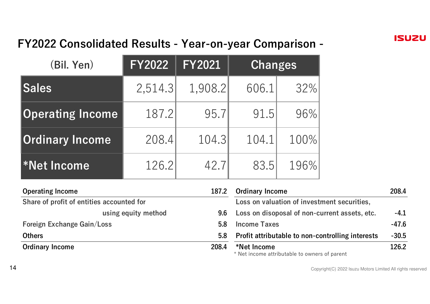## FY2022 Consolidated Results - Year-on-year Comparison -

| (Bil. Yen)              | <b>FY2022</b> | <b>FY2021</b> | <b>Changes</b> |      |
|-------------------------|---------------|---------------|----------------|------|
| <b>Sales</b>            | 2,514.3       | 1,908.2       | 606.1          | 32%  |
| <b>Operating Income</b> | 187.2         | 95.7          | 91.5           | 96%  |
| <b>Ordinary Income</b>  | 208.4         | 104.3         | 104.1          | 100% |
| *Net Income             | 126.2         | 42.7          | 83.5           | 196% |

| <b>Operating Income</b>                   |                     | 187.2            | <b>Ordinary Income</b>                                       | 208.4   |
|-------------------------------------------|---------------------|------------------|--------------------------------------------------------------|---------|
| Share of profit of entities accounted for |                     |                  | Loss on valuation of investment securities,                  |         |
|                                           | using equity method | 9.6              | Loss on disoposal of non-current assets, etc.                | $-4.1$  |
| Foreign Exchange Gain/Loss                |                     | 5.8              | <b>Income Taxes</b>                                          | -47.6   |
| <b>Others</b>                             |                     | 5.8 <sub>1</sub> | <b>Profit attributable to non-controlling interests</b>      | $-30.5$ |
| <b>Ordinary Income</b>                    |                     | 208.4            | *Net Income<br>* Net income attributable to owners of parent | 126.2   |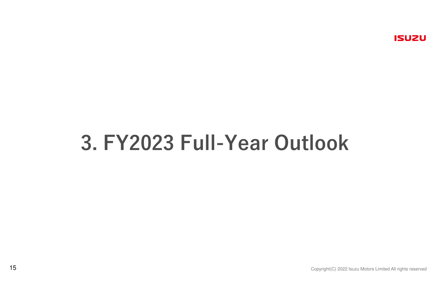# 3. FY2023 Full-Year Outlook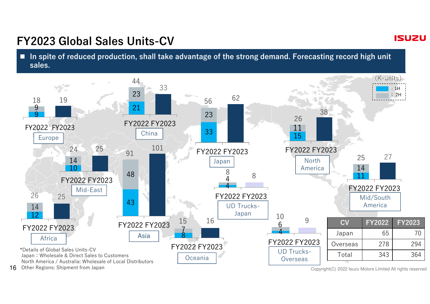## FY2023 Global Sales Units-CV

In spite of reduced production, shall take advantage of the strong demand. Forecasting record high unit sales.



16Other Regions: Shipment from Japan

Copyright(C) 2022 Isuzu Motors Limited All rights reserved

#### **ISUZU**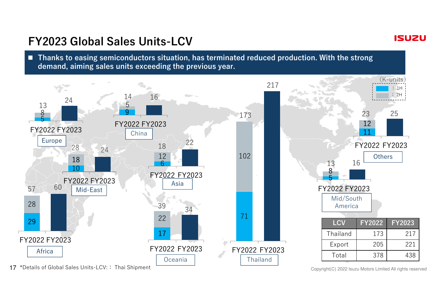## FY2023 Global Sales Units-LCV

■ Thanks to easing semiconductors situation, has terminated reduced production. With the strong demand, aiming sales units exceeding the previous year.



17\*Details of Global Sales Units-LCV:: Thai Shipment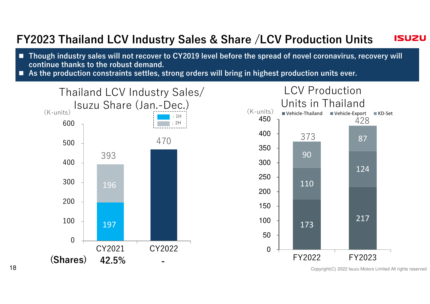#### FY2023 Thailand LCV Industry Sales & Share /LCV Production Units **ISU2U**

- Though industry sales will not recover to CY2019 level before the spread of novel coronavirus, recovery will continue thanks to the robust demand.
- As the production constraints settles, strong orders will bring in highest production units ever.



Copyright(C) 2022 Isuzu Motors Limited All rights reserved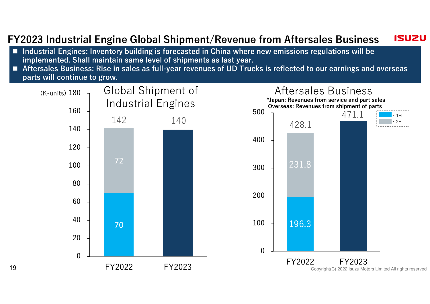#### **ISUZU** FY2023 Industrial Engine Global Shipment/Revenue from Aftersales Business

- Industrial Engines: Inventory building is forecasted in China where new emissions regulations will be implemented. Shall maintain same level of shipments as last year.
- Aftersales Business: Rise in sales as full-year revenues of UD Trucks is reflected to our earnings and overseas parts will continue to grow.

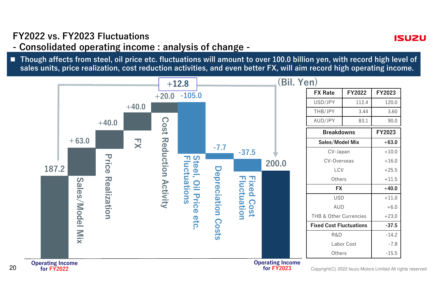#### FY2022 vs. FY2023 Fluctuations

- Consolidated operating income : analysis of change -

■ Though affects from steel, oil price etc. fluctuations will amount to over 100.0 billion yen, with record high level of sales units, price realization, cost reduction activities, and even better FX, will aim record high operating income.

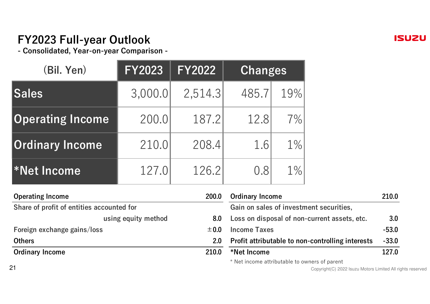## FY2023 Full-year Outlook

- Consolidated, Year-on-year Comparison -

| (Bil. Yen)              | <b>FY2023</b> | <b>FY2022</b> | <b>Changes</b> |       |
|-------------------------|---------------|---------------|----------------|-------|
| <b>Sales</b>            | 3,000.0       | 2,514.3       | 485.7          | 19%   |
| <b>Operating Income</b> | 200.0         | 187.2         | 12.8           | 7%    |
| <b>Ordinary Income</b>  | 210.0         | 208.4         | 1.6            | $1\%$ |
| *Net Income             | 127.0         | 126.2         | 0.8            | $1\%$ |

| <b>Operating Income</b><br>Share of profit of entities accounted for |                     | 200.0            | <b>Ordinary Income</b>                           | 210.0   |  |
|----------------------------------------------------------------------|---------------------|------------------|--------------------------------------------------|---------|--|
|                                                                      |                     |                  | Gain on sales of investment securities,          |         |  |
|                                                                      | using equity method | 8.0              | Loss on disposal of non-current assets, etc.     | 3.0     |  |
| Foreign exchange gains/loss                                          |                     | ± 0.0            | <b>Income Taxes</b>                              | $-53.0$ |  |
| <b>Others</b>                                                        |                     | 2.0 <sub>2</sub> | Profit attributable to non-controlling interests | $-33.0$ |  |
| <b>Ordinary Income</b>                                               |                     | 210.0            | *Net Income                                      | 127.0   |  |
|                                                                      |                     |                  | $*$ Not income attributable to eurors of parent  |         |  |

Net income attributable to owners of parent

Copyright(C) 2022 Isuzu Motors Limited All rights reserved

**ISUZU**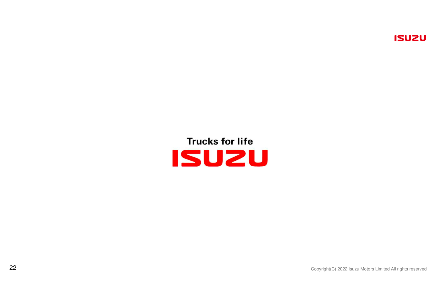## **Trucks for life** ISUZU